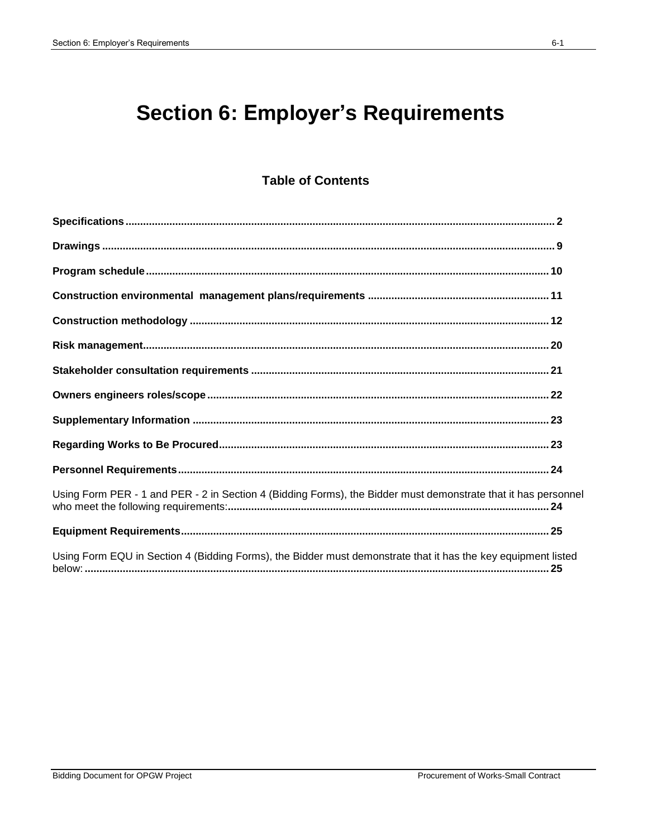# **Section 6: Employer's Requirements**

### **Table of Contents**

| Using Form PER - 1 and PER - 2 in Section 4 (Bidding Forms), the Bidder must demonstrate that it has personne |  |
|---------------------------------------------------------------------------------------------------------------|--|
|                                                                                                               |  |
| Using Form EQU in Section 4 (Bidding Forms), the Bidder must demonstrate that it has the key equipment listed |  |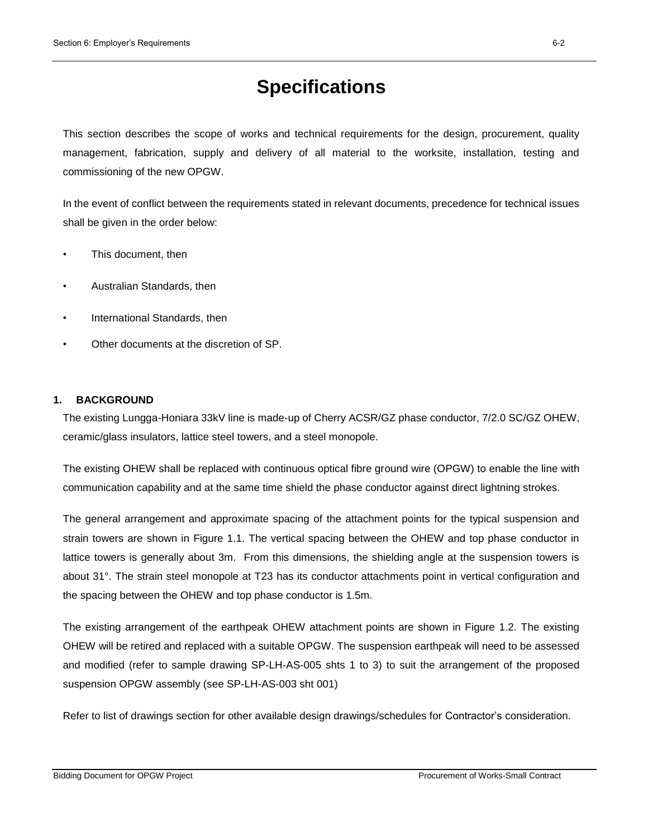## **Specifications**

This section describes the scope of works and technical requirements for the design, procurement, quality management, fabrication, supply and delivery of all material to the worksite, installation, testing and commissioning of the new OPGW.

In the event of conflict between the requirements stated in relevant documents, precedence for technical issues shall be given in the order below:

- This document, then
- Australian Standards, then
- International Standards, then
- Other documents at the discretion of SP.

#### **1. BACKGROUND**

The existing Lungga-Honiara 33kV line is made-up of Cherry ACSR/GZ phase conductor, 7/2.0 SC/GZ OHEW, ceramic/glass insulators, lattice steel towers, and a steel monopole.

The existing OHEW shall be replaced with continuous optical fibre ground wire (OPGW) to enable the line with communication capability and at the same time shield the phase conductor against direct lightning strokes.

The general arrangement and approximate spacing of the attachment points for the typical suspension and strain towers are shown in Figure 1.1. The vertical spacing between the OHEW and top phase conductor in lattice towers is generally about 3m. From this dimensions, the shielding angle at the suspension towers is about 31°. The strain steel monopole at T23 has its conductor attachments point in vertical configuration and the spacing between the OHEW and top phase conductor is 1.5m.

The existing arrangement of the earthpeak OHEW attachment points are shown in Figure 1.2. The existing OHEW will be retired and replaced with a suitable OPGW. The suspension earthpeak will need to be assessed and modified (refer to sample drawing SP-LH-AS-005 shts 1 to 3) to suit the arrangement of the proposed suspension OPGW assembly (see SP-LH-AS-003 sht 001)

Refer to list of drawings section for other available design drawings/schedules for Contractor's consideration.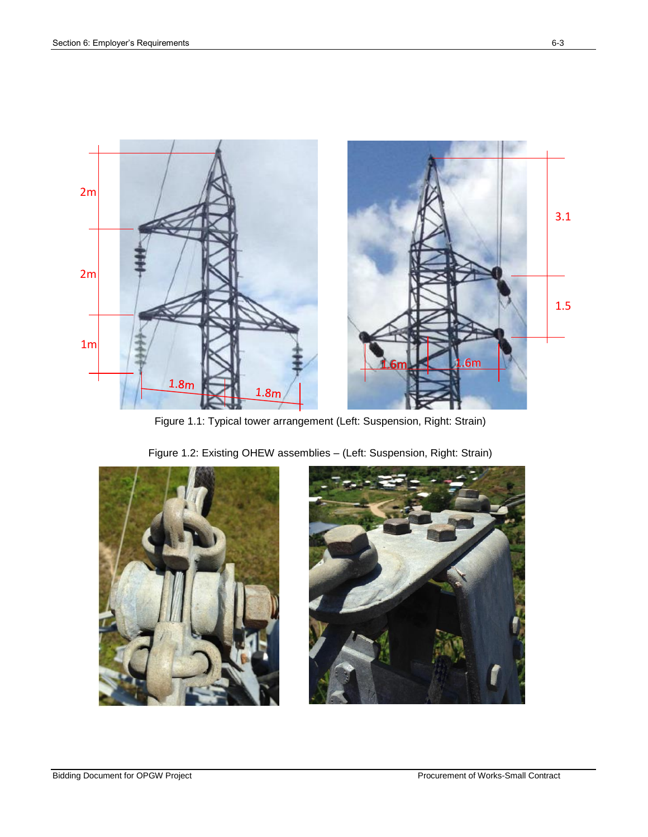

Figure 1.1: Typical tower arrangement (Left: Suspension, Right: Strain)





Figure 1.2: Existing OHEW assemblies – (Left: Suspension, Right: Strain)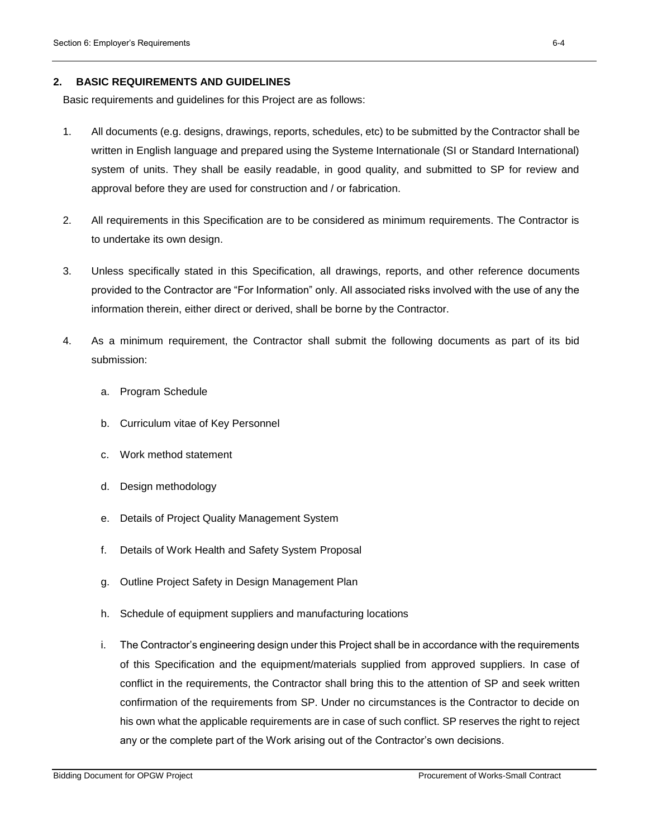#### **2. BASIC REQUIREMENTS AND GUIDELINES**

Basic requirements and guidelines for this Project are as follows:

- 1. All documents (e.g. designs, drawings, reports, schedules, etc) to be submitted by the Contractor shall be written in English language and prepared using the Systeme Internationale (SI or Standard International) system of units. They shall be easily readable, in good quality, and submitted to SP for review and approval before they are used for construction and / or fabrication.
- 2. All requirements in this Specification are to be considered as minimum requirements. The Contractor is to undertake its own design.
- 3. Unless specifically stated in this Specification, all drawings, reports, and other reference documents provided to the Contractor are "For Information" only. All associated risks involved with the use of any the information therein, either direct or derived, shall be borne by the Contractor.
- 4. As a minimum requirement, the Contractor shall submit the following documents as part of its bid submission:
	- a. Program Schedule
	- b. Curriculum vitae of Key Personnel
	- c. Work method statement
	- d. Design methodology
	- e. Details of Project Quality Management System
	- f. Details of Work Health and Safety System Proposal
	- g. Outline Project Safety in Design Management Plan
	- h. Schedule of equipment suppliers and manufacturing locations
	- i. The Contractor's engineering design under this Project shall be in accordance with the requirements of this Specification and the equipment/materials supplied from approved suppliers. In case of conflict in the requirements, the Contractor shall bring this to the attention of SP and seek written confirmation of the requirements from SP. Under no circumstances is the Contractor to decide on his own what the applicable requirements are in case of such conflict. SP reserves the right to reject any or the complete part of the Work arising out of the Contractor's own decisions.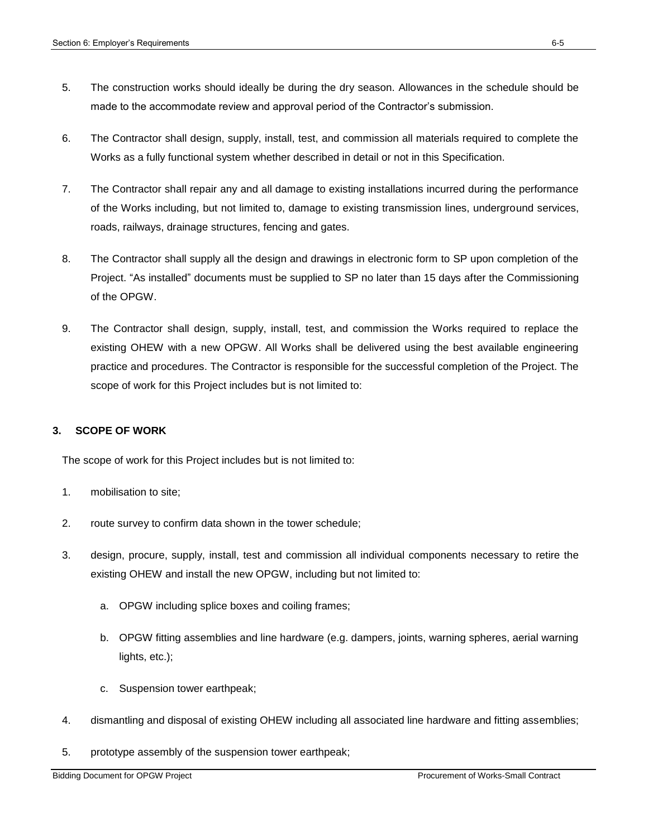- 5. The construction works should ideally be during the dry season. Allowances in the schedule should be made to the accommodate review and approval period of the Contractor's submission.
- 6. The Contractor shall design, supply, install, test, and commission all materials required to complete the Works as a fully functional system whether described in detail or not in this Specification.
- 7. The Contractor shall repair any and all damage to existing installations incurred during the performance of the Works including, but not limited to, damage to existing transmission lines, underground services, roads, railways, drainage structures, fencing and gates.
- 8. The Contractor shall supply all the design and drawings in electronic form to SP upon completion of the Project. "As installed" documents must be supplied to SP no later than 15 days after the Commissioning of the OPGW.
- 9. The Contractor shall design, supply, install, test, and commission the Works required to replace the existing OHEW with a new OPGW. All Works shall be delivered using the best available engineering practice and procedures. The Contractor is responsible for the successful completion of the Project. The scope of work for this Project includes but is not limited to:

### **3. SCOPE OF WORK**

The scope of work for this Project includes but is not limited to:

- 1. mobilisation to site;
- 2. route survey to confirm data shown in the tower schedule;
- 3. design, procure, supply, install, test and commission all individual components necessary to retire the existing OHEW and install the new OPGW, including but not limited to:
	- a. OPGW including splice boxes and coiling frames;
	- b. OPGW fitting assemblies and line hardware (e.g. dampers, joints, warning spheres, aerial warning lights, etc.);
	- c. Suspension tower earthpeak;
- 4. dismantling and disposal of existing OHEW including all associated line hardware and fitting assemblies;
- 5. prototype assembly of the suspension tower earthpeak;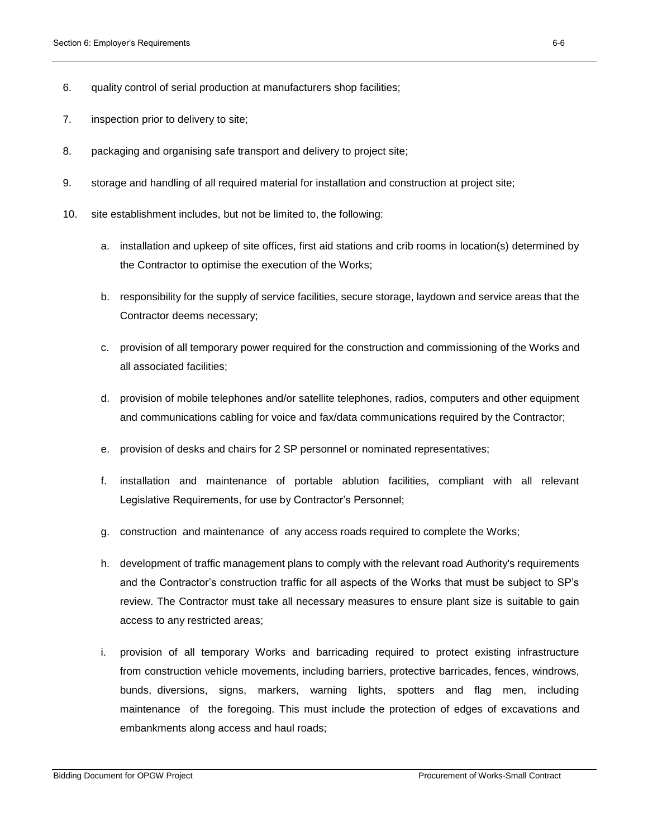- 6. quality control of serial production at manufacturers shop facilities;
- 7. inspection prior to delivery to site;
- 8. packaging and organising safe transport and delivery to project site;
- 9. storage and handling of all required material for installation and construction at project site;
- 10. site establishment includes, but not be limited to, the following:
	- a. installation and upkeep of site offices, first aid stations and crib rooms in location(s) determined by the Contractor to optimise the execution of the Works;
	- b. responsibility for the supply of service facilities, secure storage, laydown and service areas that the Contractor deems necessary;
	- c. provision of all temporary power required for the construction and commissioning of the Works and all associated facilities;
	- d. provision of mobile telephones and/or satellite telephones, radios, computers and other equipment and communications cabling for voice and fax/data communications required by the Contractor;
	- e. provision of desks and chairs for 2 SP personnel or nominated representatives;
	- f. installation and maintenance of portable ablution facilities, compliant with all relevant Legislative Requirements, for use by Contractor's Personnel;
	- g. construction and maintenance of any access roads required to complete the Works;
	- h. development of traffic management plans to comply with the relevant road Authority's requirements and the Contractor's construction traffic for all aspects of the Works that must be subject to SP's review. The Contractor must take all necessary measures to ensure plant size is suitable to gain access to any restricted areas;
	- i. provision of all temporary Works and barricading required to protect existing infrastructure from construction vehicle movements, including barriers, protective barricades, fences, windrows, bunds, diversions, signs, markers, warning lights, spotters and flag men, including maintenance of the foregoing. This must include the protection of edges of excavations and embankments along access and haul roads;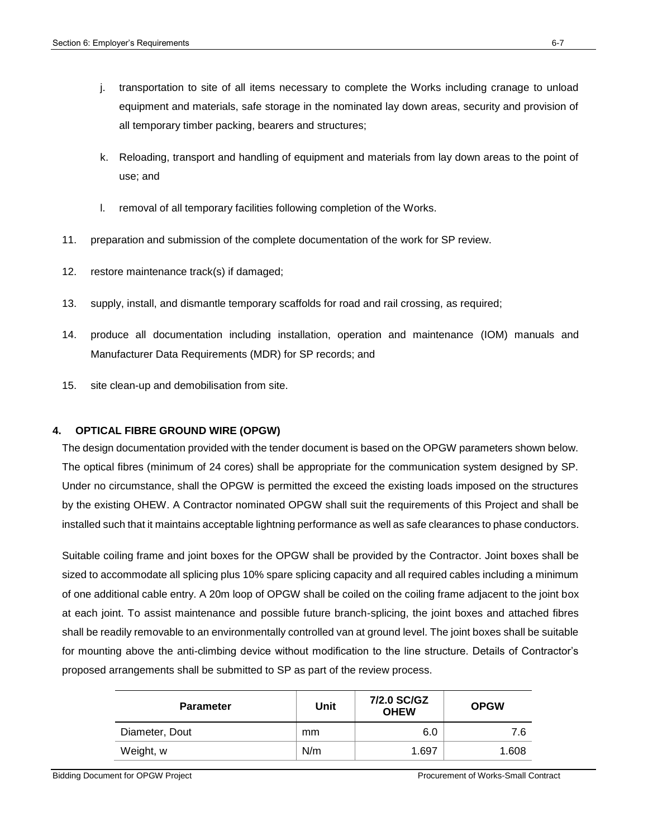- j. transportation to site of all items necessary to complete the Works including cranage to unload equipment and materials, safe storage in the nominated lay down areas, security and provision of all temporary timber packing, bearers and structures;
- k. Reloading, transport and handling of equipment and materials from lay down areas to the point of use; and
- l. removal of all temporary facilities following completion of the Works.
- 11. preparation and submission of the complete documentation of the work for SP review.
- 12. restore maintenance track(s) if damaged;
- 13. supply, install, and dismantle temporary scaffolds for road and rail crossing, as required;
- 14. produce all documentation including installation, operation and maintenance (IOM) manuals and Manufacturer Data Requirements (MDR) for SP records; and
- 15. site clean-up and demobilisation from site.

### **4. OPTICAL FIBRE GROUND WIRE (OPGW)**

The design documentation provided with the tender document is based on the OPGW parameters shown below. The optical fibres (minimum of 24 cores) shall be appropriate for the communication system designed by SP. Under no circumstance, shall the OPGW is permitted the exceed the existing loads imposed on the structures by the existing OHEW. A Contractor nominated OPGW shall suit the requirements of this Project and shall be installed such that it maintains acceptable lightning performance as well as safe clearances to phase conductors.

Suitable coiling frame and joint boxes for the OPGW shall be provided by the Contractor. Joint boxes shall be sized to accommodate all splicing plus 10% spare splicing capacity and all required cables including a minimum of one additional cable entry. A 20m loop of OPGW shall be coiled on the coiling frame adjacent to the joint box at each joint. To assist maintenance and possible future branch-splicing, the joint boxes and attached fibres shall be readily removable to an environmentally controlled van at ground level. The joint boxes shall be suitable for mounting above the anti-climbing device without modification to the line structure. Details of Contractor's proposed arrangements shall be submitted to SP as part of the review process.

| <b>Parameter</b> | Unit | 7/2.0 SC/GZ<br><b>OHEW</b> | <b>OPGW</b> |
|------------------|------|----------------------------|-------------|
| Diameter, Dout   | mm   | 6.0                        | 7.6         |
| Weight, w        | N/m  | 1.697                      | 1.608       |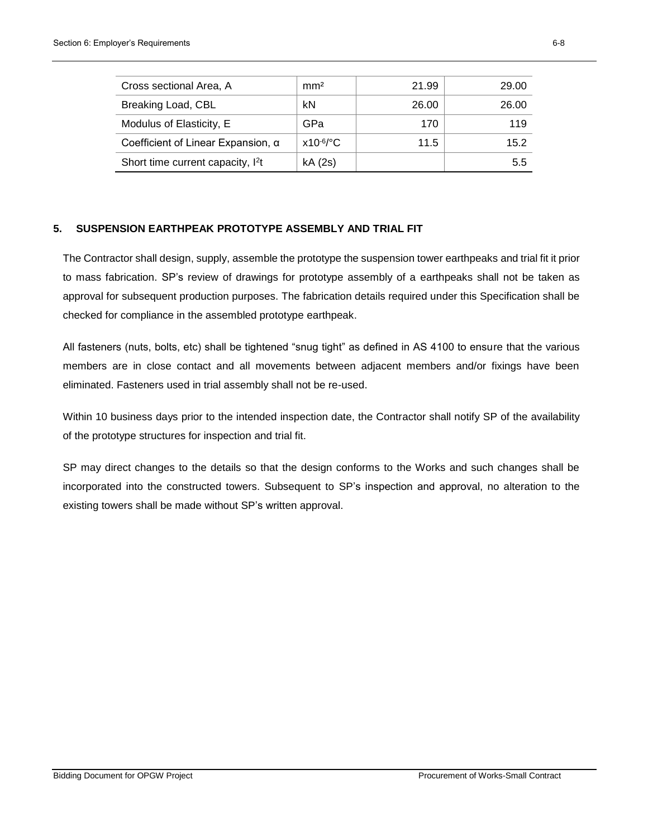| Cross sectional Area, A                       | mm <sup>2</sup> | 21.99 | 29.00 |
|-----------------------------------------------|-----------------|-------|-------|
| Breaking Load, CBL                            | kN              | 26.00 | 26.00 |
| Modulus of Elasticity, E                      | GPa             | 170   | 119   |
| Coefficient of Linear Expansion, α            | $x10^{-6/°}$ C  | 11.5  | 15.2  |
| Short time current capacity, I <sup>2</sup> t | kA (2s)         |       | 5.5   |

### **5. SUSPENSION EARTHPEAK PROTOTYPE ASSEMBLY AND TRIAL FIT**

The Contractor shall design, supply, assemble the prototype the suspension tower earthpeaks and trial fit it prior to mass fabrication. SP's review of drawings for prototype assembly of a earthpeaks shall not be taken as approval for subsequent production purposes. The fabrication details required under this Specification shall be checked for compliance in the assembled prototype earthpeak.

All fasteners (nuts, bolts, etc) shall be tightened "snug tight" as defined in AS 4100 to ensure that the various members are in close contact and all movements between adjacent members and/or fixings have been eliminated. Fasteners used in trial assembly shall not be re-used.

Within 10 business days prior to the intended inspection date, the Contractor shall notify SP of the availability of the prototype structures for inspection and trial fit.

SP may direct changes to the details so that the design conforms to the Works and such changes shall be incorporated into the constructed towers. Subsequent to SP's inspection and approval, no alteration to the existing towers shall be made without SP's written approval.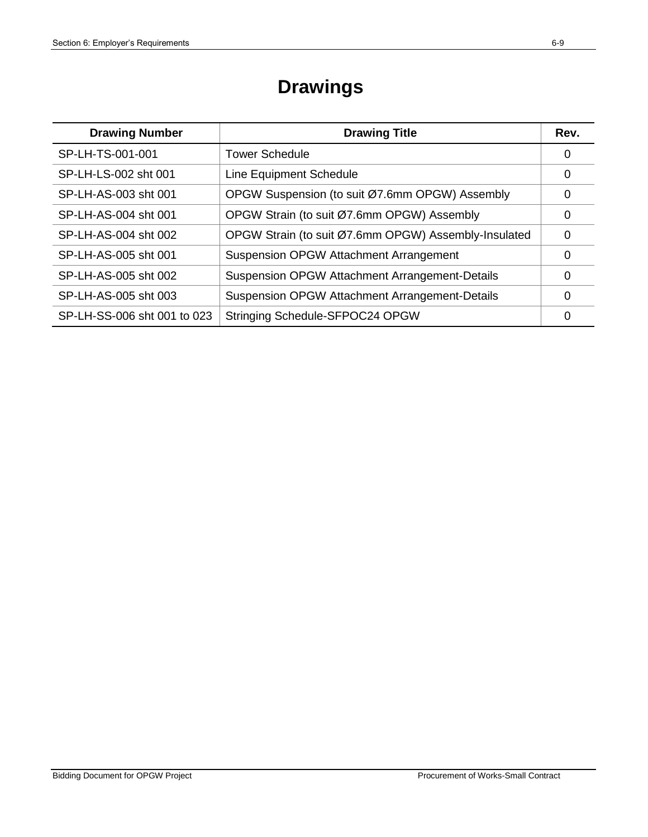# **Drawings**

| <b>Drawing Number</b>       | <b>Drawing Title</b>                                  | Rev. |
|-----------------------------|-------------------------------------------------------|------|
| SP-LH-TS-001-001            | <b>Tower Schedule</b>                                 | 0    |
| SP-LH-LS-002 sht 001        | Line Equipment Schedule                               | 0    |
| SP-LH-AS-003 sht 001        | OPGW Suspension (to suit Ø7.6mm OPGW) Assembly        | 0    |
| SP-LH-AS-004 sht 001        | OPGW Strain (to suit Ø7.6mm OPGW) Assembly            | 0    |
| SP-LH-AS-004 sht 002        | OPGW Strain (to suit Ø7.6mm OPGW) Assembly-Insulated  | 0    |
| SP-LH-AS-005 sht 001        | Suspension OPGW Attachment Arrangement                | 0    |
| SP-LH-AS-005 sht 002        | <b>Suspension OPGW Attachment Arrangement-Details</b> | 0    |
| SP-LH-AS-005 sht 003        | <b>Suspension OPGW Attachment Arrangement-Details</b> | 0    |
| SP-LH-SS-006 sht 001 to 023 | Stringing Schedule-SFPOC24 OPGW                       | O    |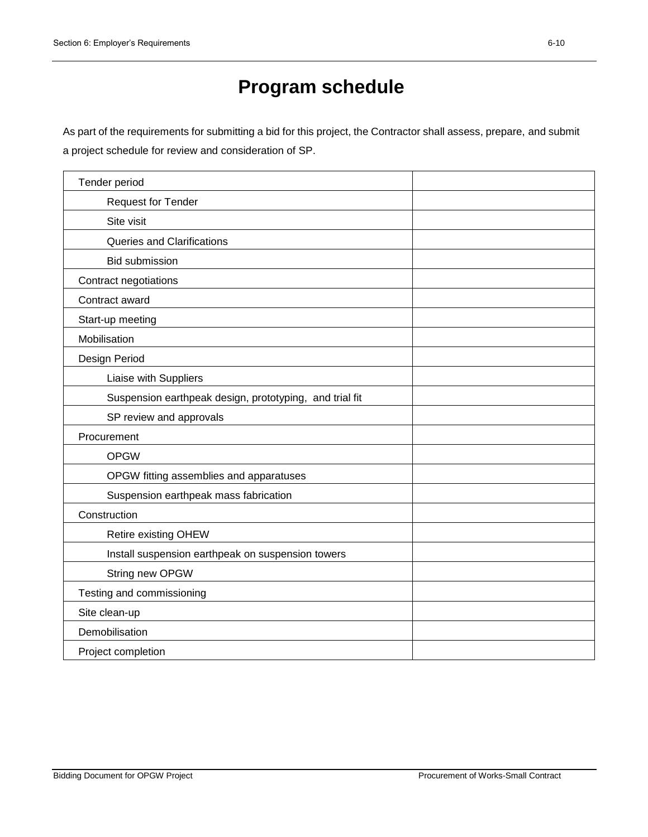# **Program schedule**

As part of the requirements for submitting a bid for this project, the Contractor shall assess, prepare, and submit a project schedule for review and consideration of SP.

| Tender period                                           |  |
|---------------------------------------------------------|--|
| <b>Request for Tender</b>                               |  |
| Site visit                                              |  |
| <b>Queries and Clarifications</b>                       |  |
| <b>Bid submission</b>                                   |  |
| Contract negotiations                                   |  |
| Contract award                                          |  |
| Start-up meeting                                        |  |
| Mobilisation                                            |  |
| Design Period                                           |  |
| Liaise with Suppliers                                   |  |
| Suspension earthpeak design, prototyping, and trial fit |  |
| SP review and approvals                                 |  |
| Procurement                                             |  |
| <b>OPGW</b>                                             |  |
| OPGW fitting assemblies and apparatuses                 |  |
| Suspension earthpeak mass fabrication                   |  |
| Construction                                            |  |
| Retire existing OHEW                                    |  |
| Install suspension earthpeak on suspension towers       |  |
| String new OPGW                                         |  |
| Testing and commissioning                               |  |
| Site clean-up                                           |  |
| Demobilisation                                          |  |
| Project completion                                      |  |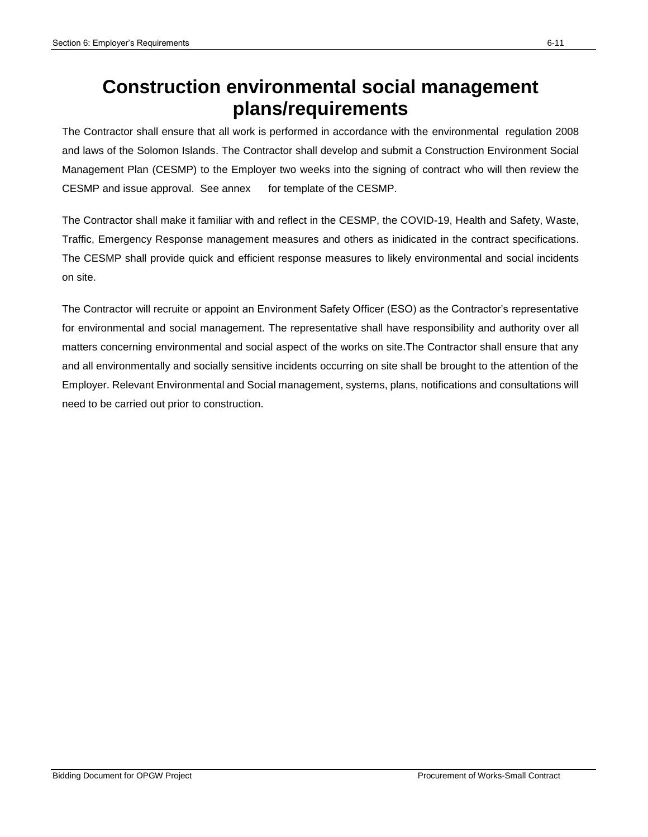## **Construction environmental social management plans/requirements**

The Contractor shall ensure that all work is performed in accordance with the environmental regulation 2008 and laws of the Solomon Islands. The Contractor shall develop and submit a Construction Environment Social Management Plan (CESMP) to the Employer two weeks into the signing of contract who will then review the CESMP and issue approval. See annex for template of the CESMP.

The Contractor shall make it familiar with and reflect in the CESMP, the COVID-19, Health and Safety, Waste, Traffic, Emergency Response management measures and others as inidicated in the contract specifications. The CESMP shall provide quick and efficient response measures to likely environmental and social incidents on site.

The Contractor will recruite or appoint an Environment Safety Officer (ESO) as the Contractor's representative for environmental and social management. The representative shall have responsibility and authority over all matters concerning environmental and social aspect of the works on site.The Contractor shall ensure that any and all environmentally and socially sensitive incidents occurring on site shall be brought to the attention of the Employer. Relevant Environmental and Social management, systems, plans, notifications and consultations will need to be carried out prior to construction.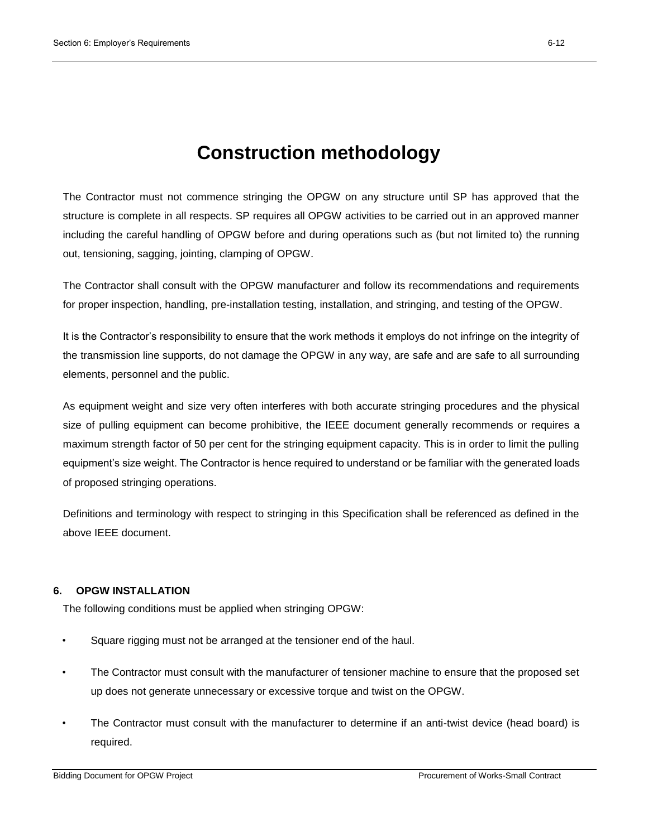## **Construction methodology**

The Contractor must not commence stringing the OPGW on any structure until SP has approved that the structure is complete in all respects. SP requires all OPGW activities to be carried out in an approved manner including the careful handling of OPGW before and during operations such as (but not limited to) the running out, tensioning, sagging, jointing, clamping of OPGW.

The Contractor shall consult with the OPGW manufacturer and follow its recommendations and requirements for proper inspection, handling, pre-installation testing, installation, and stringing, and testing of the OPGW.

It is the Contractor's responsibility to ensure that the work methods it employs do not infringe on the integrity of the transmission line supports, do not damage the OPGW in any way, are safe and are safe to all surrounding elements, personnel and the public.

As equipment weight and size very often interferes with both accurate stringing procedures and the physical size of pulling equipment can become prohibitive, the IEEE document generally recommends or requires a maximum strength factor of 50 per cent for the stringing equipment capacity. This is in order to limit the pulling equipment's size weight. The Contractor is hence required to understand or be familiar with the generated loads of proposed stringing operations.

Definitions and terminology with respect to stringing in this Specification shall be referenced as defined in the above IEEE document.

### **6. OPGW INSTALLATION**

The following conditions must be applied when stringing OPGW:

- Square rigging must not be arranged at the tensioner end of the haul.
- The Contractor must consult with the manufacturer of tensioner machine to ensure that the proposed set up does not generate unnecessary or excessive torque and twist on the OPGW.
- The Contractor must consult with the manufacturer to determine if an anti-twist device (head board) is required.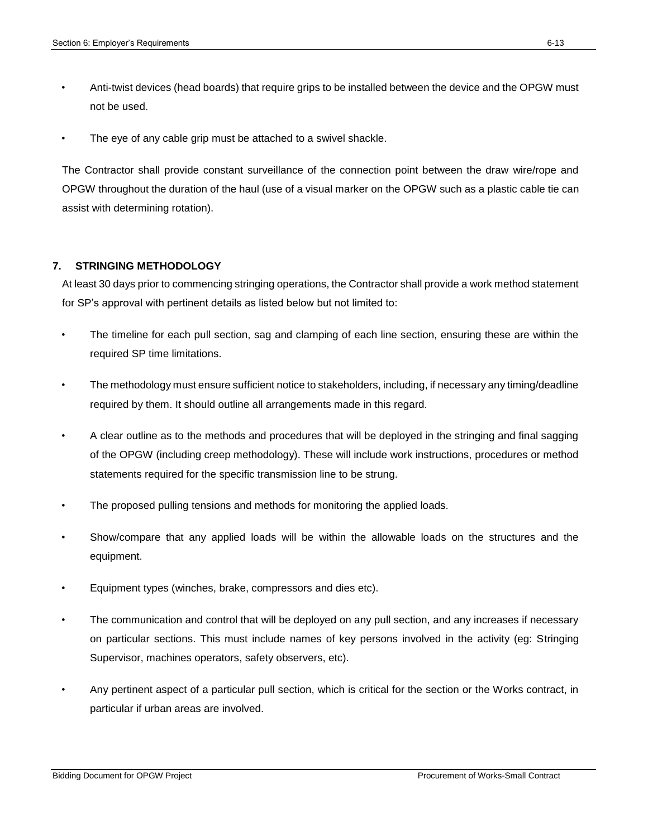- Anti-twist devices (head boards) that require grips to be installed between the device and the OPGW must not be used.
- The eye of any cable grip must be attached to a swivel shackle.

The Contractor shall provide constant surveillance of the connection point between the draw wire/rope and OPGW throughout the duration of the haul (use of a visual marker on the OPGW such as a plastic cable tie can assist with determining rotation).

#### **7. STRINGING METHODOLOGY**

At least 30 days prior to commencing stringing operations, the Contractor shall provide a work method statement for SP's approval with pertinent details as listed below but not limited to:

- The timeline for each pull section, sag and clamping of each line section, ensuring these are within the required SP time limitations.
- The methodology must ensure sufficient notice to stakeholders, including, if necessary any timing/deadline required by them. It should outline all arrangements made in this regard.
- A clear outline as to the methods and procedures that will be deployed in the stringing and final sagging of the OPGW (including creep methodology). These will include work instructions, procedures or method statements required for the specific transmission line to be strung.
- The proposed pulling tensions and methods for monitoring the applied loads.
- Show/compare that any applied loads will be within the allowable loads on the structures and the equipment.
- Equipment types (winches, brake, compressors and dies etc).
- The communication and control that will be deployed on any pull section, and any increases if necessary on particular sections. This must include names of key persons involved in the activity (eg: Stringing Supervisor, machines operators, safety observers, etc).
- Any pertinent aspect of a particular pull section, which is critical for the section or the Works contract, in particular if urban areas are involved.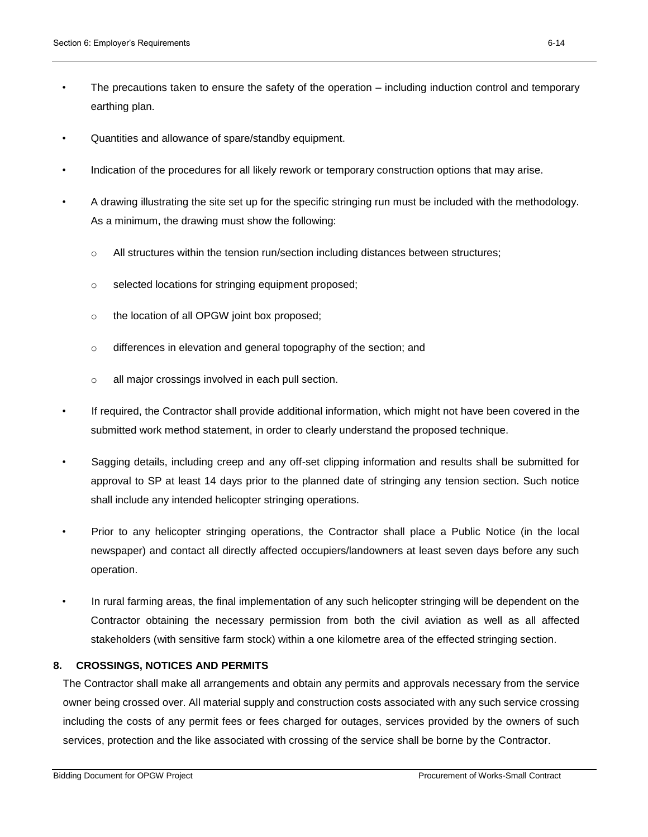- The precautions taken to ensure the safety of the operation including induction control and temporary earthing plan.
- Quantities and allowance of spare/standby equipment.
- Indication of the procedures for all likely rework or temporary construction options that may arise.
- A drawing illustrating the site set up for the specific stringing run must be included with the methodology. As a minimum, the drawing must show the following:
	- $\circ$  All structures within the tension run/section including distances between structures;
	- o selected locations for stringing equipment proposed;
	- o the location of all OPGW joint box proposed;
	- o differences in elevation and general topography of the section; and
	- o all major crossings involved in each pull section.
- If required, the Contractor shall provide additional information, which might not have been covered in the submitted work method statement, in order to clearly understand the proposed technique.
- Sagging details, including creep and any off-set clipping information and results shall be submitted for approval to SP at least 14 days prior to the planned date of stringing any tension section. Such notice shall include any intended helicopter stringing operations.
- Prior to any helicopter stringing operations, the Contractor shall place a Public Notice (in the local newspaper) and contact all directly affected occupiers/landowners at least seven days before any such operation.
- In rural farming areas, the final implementation of any such helicopter stringing will be dependent on the Contractor obtaining the necessary permission from both the civil aviation as well as all affected stakeholders (with sensitive farm stock) within a one kilometre area of the effected stringing section.

#### **8. CROSSINGS, NOTICES AND PERMITS**

The Contractor shall make all arrangements and obtain any permits and approvals necessary from the service owner being crossed over. All material supply and construction costs associated with any such service crossing including the costs of any permit fees or fees charged for outages, services provided by the owners of such services, protection and the like associated with crossing of the service shall be borne by the Contractor.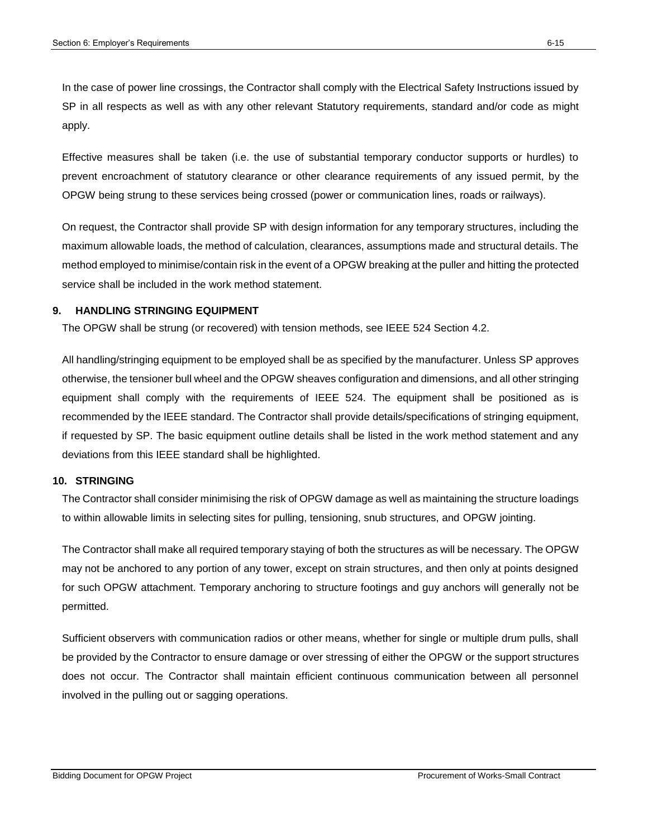In the case of power line crossings, the Contractor shall comply with the Electrical Safety Instructions issued by SP in all respects as well as with any other relevant Statutory requirements, standard and/or code as might apply.

Effective measures shall be taken (i.e. the use of substantial temporary conductor supports or hurdles) to prevent encroachment of statutory clearance or other clearance requirements of any issued permit, by the OPGW being strung to these services being crossed (power or communication lines, roads or railways).

On request, the Contractor shall provide SP with design information for any temporary structures, including the maximum allowable loads, the method of calculation, clearances, assumptions made and structural details. The method employed to minimise/contain risk in the event of a OPGW breaking at the puller and hitting the protected service shall be included in the work method statement.

#### **9. HANDLING STRINGING EQUIPMENT**

The OPGW shall be strung (or recovered) with tension methods, see IEEE 524 Section 4.2.

All handling/stringing equipment to be employed shall be as specified by the manufacturer. Unless SP approves otherwise, the tensioner bull wheel and the OPGW sheaves configuration and dimensions, and all other stringing equipment shall comply with the requirements of IEEE 524. The equipment shall be positioned as is recommended by the IEEE standard. The Contractor shall provide details/specifications of stringing equipment, if requested by SP. The basic equipment outline details shall be listed in the work method statement and any deviations from this IEEE standard shall be highlighted.

#### **10. STRINGING**

The Contractor shall consider minimising the risk of OPGW damage as well as maintaining the structure loadings to within allowable limits in selecting sites for pulling, tensioning, snub structures, and OPGW jointing.

The Contractor shall make all required temporary staying of both the structures as will be necessary. The OPGW may not be anchored to any portion of any tower, except on strain structures, and then only at points designed for such OPGW attachment. Temporary anchoring to structure footings and guy anchors will generally not be permitted.

Sufficient observers with communication radios or other means, whether for single or multiple drum pulls, shall be provided by the Contractor to ensure damage or over stressing of either the OPGW or the support structures does not occur. The Contractor shall maintain efficient continuous communication between all personnel involved in the pulling out or sagging operations.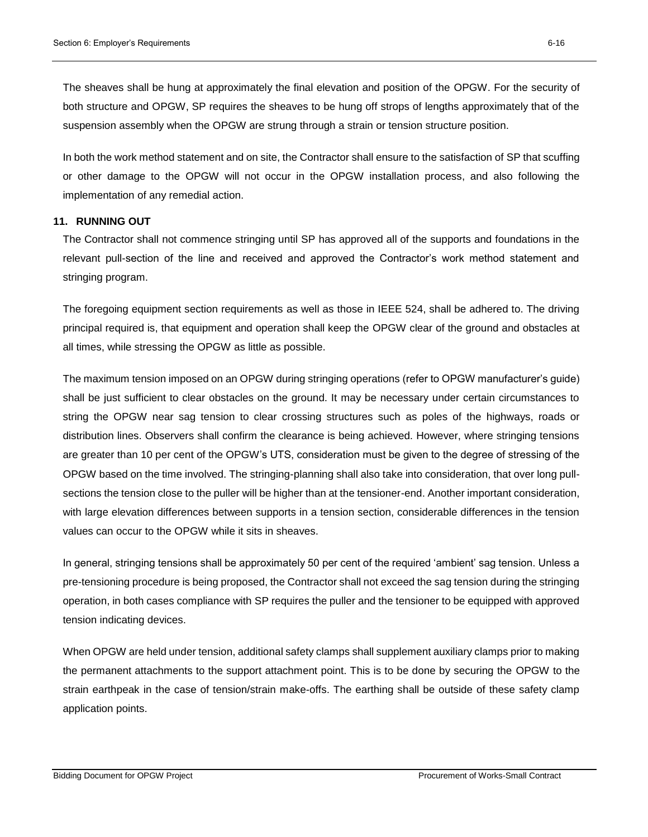The sheaves shall be hung at approximately the final elevation and position of the OPGW. For the security of both structure and OPGW, SP requires the sheaves to be hung off strops of lengths approximately that of the suspension assembly when the OPGW are strung through a strain or tension structure position.

In both the work method statement and on site, the Contractor shall ensure to the satisfaction of SP that scuffing or other damage to the OPGW will not occur in the OPGW installation process, and also following the implementation of any remedial action.

#### **11. RUNNING OUT**

The Contractor shall not commence stringing until SP has approved all of the supports and foundations in the relevant pull-section of the line and received and approved the Contractor's work method statement and stringing program.

The foregoing equipment section requirements as well as those in IEEE 524, shall be adhered to. The driving principal required is, that equipment and operation shall keep the OPGW clear of the ground and obstacles at all times, while stressing the OPGW as little as possible.

The maximum tension imposed on an OPGW during stringing operations (refer to OPGW manufacturer's guide) shall be just sufficient to clear obstacles on the ground. It may be necessary under certain circumstances to string the OPGW near sag tension to clear crossing structures such as poles of the highways, roads or distribution lines. Observers shall confirm the clearance is being achieved. However, where stringing tensions are greater than 10 per cent of the OPGW's UTS, consideration must be given to the degree of stressing of the OPGW based on the time involved. The stringing-planning shall also take into consideration, that over long pullsections the tension close to the puller will be higher than at the tensioner-end. Another important consideration, with large elevation differences between supports in a tension section, considerable differences in the tension values can occur to the OPGW while it sits in sheaves.

In general, stringing tensions shall be approximately 50 per cent of the required 'ambient' sag tension. Unless a pre-tensioning procedure is being proposed, the Contractor shall not exceed the sag tension during the stringing operation, in both cases compliance with SP requires the puller and the tensioner to be equipped with approved tension indicating devices.

When OPGW are held under tension, additional safety clamps shall supplement auxiliary clamps prior to making the permanent attachments to the support attachment point. This is to be done by securing the OPGW to the strain earthpeak in the case of tension/strain make-offs. The earthing shall be outside of these safety clamp application points.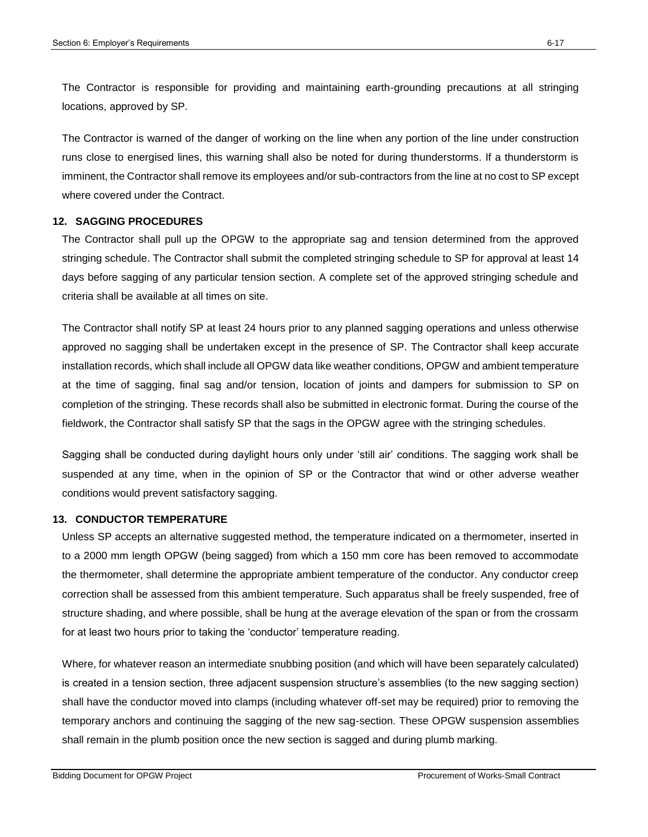The Contractor is responsible for providing and maintaining earth-grounding precautions at all stringing locations, approved by SP.

The Contractor is warned of the danger of working on the line when any portion of the line under construction runs close to energised lines, this warning shall also be noted for during thunderstorms. If a thunderstorm is imminent, the Contractor shall remove its employees and/or sub-contractors from the line at no cost to SP except where covered under the Contract.

### **12. SAGGING PROCEDURES**

The Contractor shall pull up the OPGW to the appropriate sag and tension determined from the approved stringing schedule. The Contractor shall submit the completed stringing schedule to SP for approval at least 14 days before sagging of any particular tension section. A complete set of the approved stringing schedule and criteria shall be available at all times on site.

The Contractor shall notify SP at least 24 hours prior to any planned sagging operations and unless otherwise approved no sagging shall be undertaken except in the presence of SP. The Contractor shall keep accurate installation records, which shall include all OPGW data like weather conditions, OPGW and ambient temperature at the time of sagging, final sag and/or tension, location of joints and dampers for submission to SP on completion of the stringing. These records shall also be submitted in electronic format. During the course of the fieldwork, the Contractor shall satisfy SP that the sags in the OPGW agree with the stringing schedules.

Sagging shall be conducted during daylight hours only under 'still air' conditions. The sagging work shall be suspended at any time, when in the opinion of SP or the Contractor that wind or other adverse weather conditions would prevent satisfactory sagging.

### **13. CONDUCTOR TEMPERATURE**

Unless SP accepts an alternative suggested method, the temperature indicated on a thermometer, inserted in to a 2000 mm length OPGW (being sagged) from which a 150 mm core has been removed to accommodate the thermometer, shall determine the appropriate ambient temperature of the conductor. Any conductor creep correction shall be assessed from this ambient temperature. Such apparatus shall be freely suspended, free of structure shading, and where possible, shall be hung at the average elevation of the span or from the crossarm for at least two hours prior to taking the 'conductor' temperature reading.

Where, for whatever reason an intermediate snubbing position (and which will have been separately calculated) is created in a tension section, three adjacent suspension structure's assemblies (to the new sagging section) shall have the conductor moved into clamps (including whatever off-set may be required) prior to removing the temporary anchors and continuing the sagging of the new sag-section. These OPGW suspension assemblies shall remain in the plumb position once the new section is sagged and during plumb marking.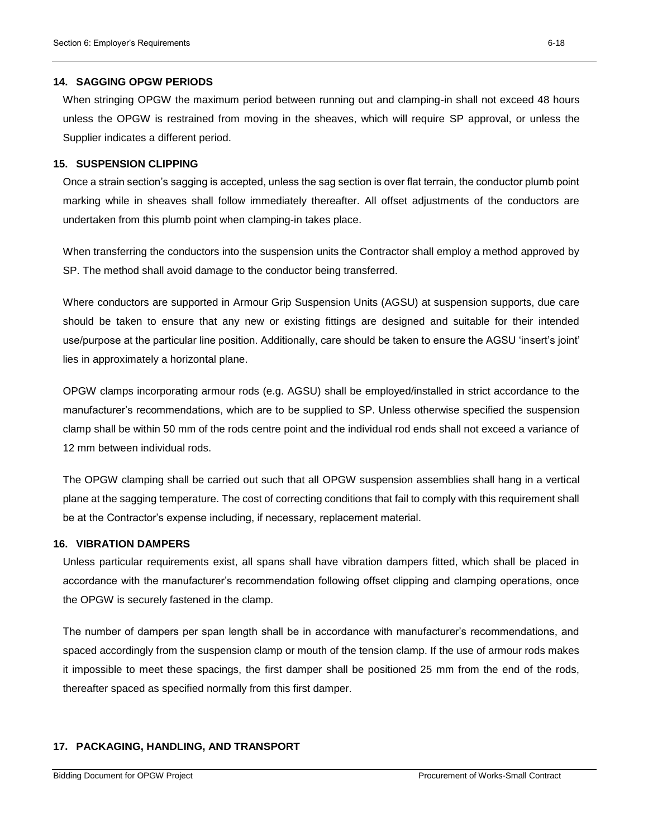#### **14. SAGGING OPGW PERIODS**

When stringing OPGW the maximum period between running out and clamping-in shall not exceed 48 hours unless the OPGW is restrained from moving in the sheaves, which will require SP approval, or unless the Supplier indicates a different period.

#### **15. SUSPENSION CLIPPING**

Once a strain section's sagging is accepted, unless the sag section is over flat terrain, the conductor plumb point marking while in sheaves shall follow immediately thereafter. All offset adjustments of the conductors are undertaken from this plumb point when clamping-in takes place.

When transferring the conductors into the suspension units the Contractor shall employ a method approved by SP. The method shall avoid damage to the conductor being transferred.

Where conductors are supported in Armour Grip Suspension Units (AGSU) at suspension supports, due care should be taken to ensure that any new or existing fittings are designed and suitable for their intended use/purpose at the particular line position. Additionally, care should be taken to ensure the AGSU 'insert's joint' lies in approximately a horizontal plane.

OPGW clamps incorporating armour rods (e.g. AGSU) shall be employed/installed in strict accordance to the manufacturer's recommendations, which are to be supplied to SP. Unless otherwise specified the suspension clamp shall be within 50 mm of the rods centre point and the individual rod ends shall not exceed a variance of 12 mm between individual rods.

The OPGW clamping shall be carried out such that all OPGW suspension assemblies shall hang in a vertical plane at the sagging temperature. The cost of correcting conditions that fail to comply with this requirement shall be at the Contractor's expense including, if necessary, replacement material.

#### **16. VIBRATION DAMPERS**

Unless particular requirements exist, all spans shall have vibration dampers fitted, which shall be placed in accordance with the manufacturer's recommendation following offset clipping and clamping operations, once the OPGW is securely fastened in the clamp.

The number of dampers per span length shall be in accordance with manufacturer's recommendations, and spaced accordingly from the suspension clamp or mouth of the tension clamp. If the use of armour rods makes it impossible to meet these spacings, the first damper shall be positioned 25 mm from the end of the rods, thereafter spaced as specified normally from this first damper.

### **17. PACKAGING, HANDLING, AND TRANSPORT**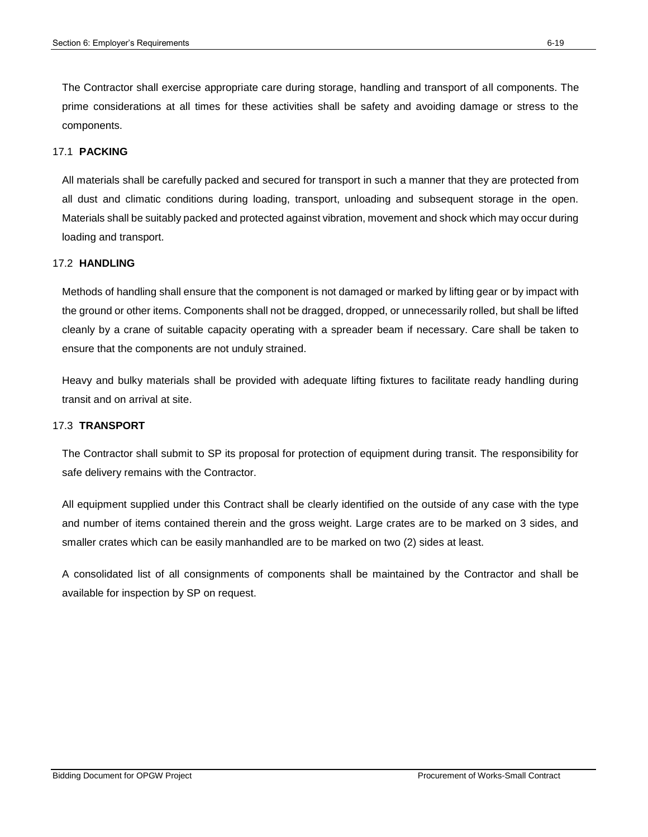The Contractor shall exercise appropriate care during storage, handling and transport of all components. The prime considerations at all times for these activities shall be safety and avoiding damage or stress to the components.

#### 17.1 **PACKING**

All materials shall be carefully packed and secured for transport in such a manner that they are protected from all dust and climatic conditions during loading, transport, unloading and subsequent storage in the open. Materials shall be suitably packed and protected against vibration, movement and shock which may occur during loading and transport.

#### 17.2 **HANDLING**

Methods of handling shall ensure that the component is not damaged or marked by lifting gear or by impact with the ground or other items. Components shall not be dragged, dropped, or unnecessarily rolled, but shall be lifted cleanly by a crane of suitable capacity operating with a spreader beam if necessary. Care shall be taken to ensure that the components are not unduly strained.

Heavy and bulky materials shall be provided with adequate lifting fixtures to facilitate ready handling during transit and on arrival at site.

#### 17.3 **TRANSPORT**

The Contractor shall submit to SP its proposal for protection of equipment during transit. The responsibility for safe delivery remains with the Contractor.

All equipment supplied under this Contract shall be clearly identified on the outside of any case with the type and number of items contained therein and the gross weight. Large crates are to be marked on 3 sides, and smaller crates which can be easily manhandled are to be marked on two (2) sides at least.

A consolidated list of all consignments of components shall be maintained by the Contractor and shall be available for inspection by SP on request.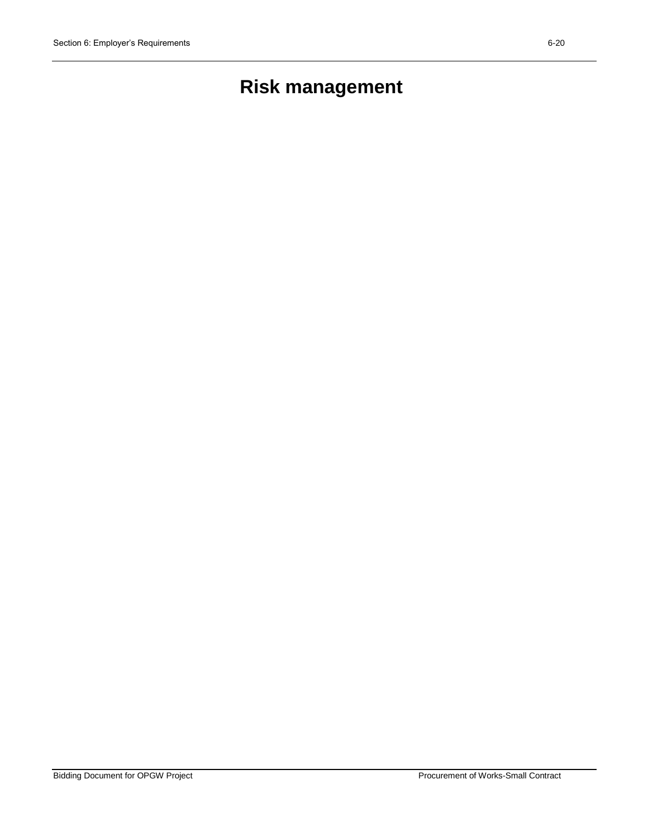# **Risk management**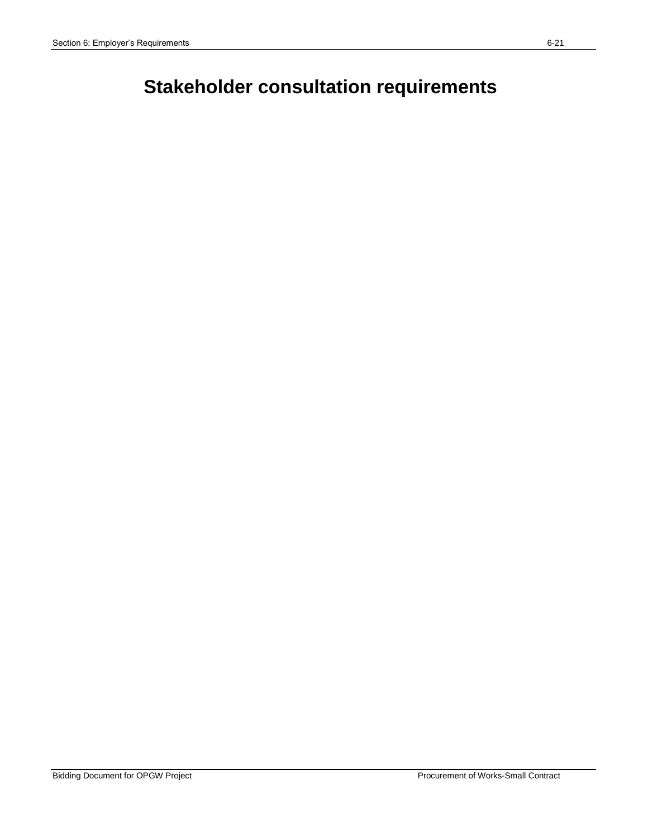# **Stakeholder consultation requirements**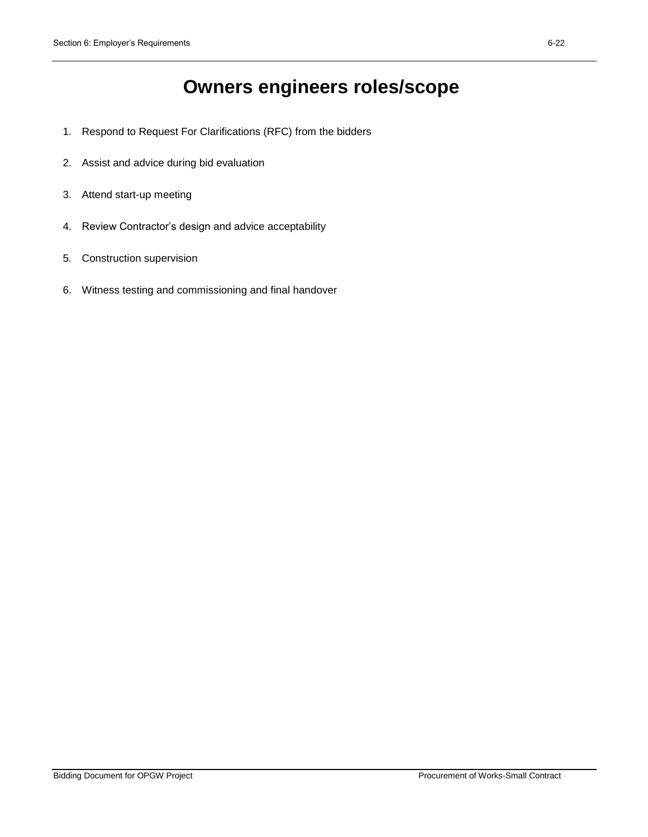# **Owners engineers roles/scope**

- 1. Respond to Request For Clarifications (RFC) from the bidders
- 2. Assist and advice during bid evaluation
- 3. Attend start-up meeting
- 4. Review Contractor's design and advice acceptability
- 5. Construction supervision
- 6. Witness testing and commissioning and final handover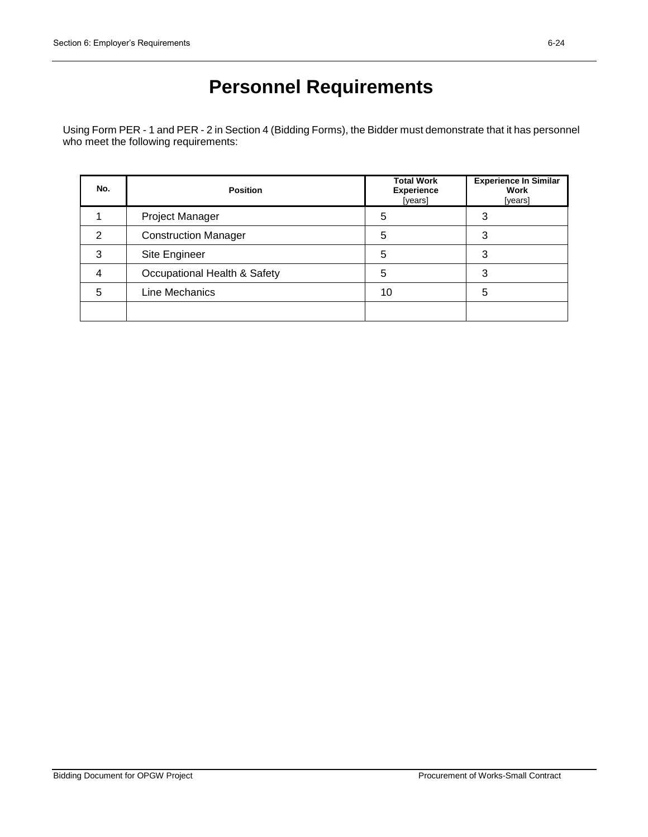# **Personnel Requirements**

Using Form PER - 1 and PER - 2 in Section 4 (Bidding Forms), the Bidder must demonstrate that it has personnel who meet the following requirements:

| No. | <b>Position</b>              | <b>Total Work</b><br><b>Experience</b><br>[years] | <b>Experience In Similar</b><br>Work<br>[years] |
|-----|------------------------------|---------------------------------------------------|-------------------------------------------------|
|     | Project Manager              | 5                                                 |                                                 |
| 2   | <b>Construction Manager</b>  | 5                                                 | 3                                               |
| 3   | Site Engineer                | 5                                                 | 3                                               |
| 4   | Occupational Health & Safety | 5                                                 | 3                                               |
| 5   | Line Mechanics               | 10                                                | 5                                               |
|     |                              |                                                   |                                                 |